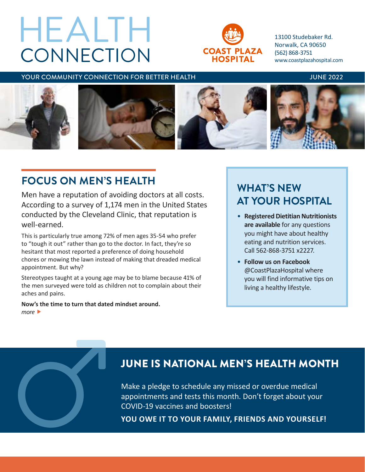# **CONNECTION** HEALTH



13100 Studebaker Rd. Norwalk, CA 90650 (562) 868-3751 www.coastplazahospital.com

### YOUR COMMUNITY CONNECTION FOR BETTER HEALTH **The CONNUSSY OF A SET ASSESS** JUNE 2022



# **FOCUS ON MEN'S HEALTH**

Men have a reputation of avoiding doctors at all costs. According to a survey of 1,174 men in the United States conducted by the Cleveland Clinic, that reputation is well-earned.

This is particularly true among 72% of men ages 35-54 who prefer to "tough it out" rather than go to the doctor. In fact, they're so hesitant that most reported a preference of doing household chores or mowing the lawn instead of making that dreaded medical appointment. But why?

Stereotypes taught at a young age may be to blame because 41% of the men surveyed were told as children not to complain about their aches and pains.

**Now's the time to turn that dated mindset around.** *more* 

# **WHAT'S NEW AT YOUR HOSPITAL**

- **Registered Dietitian Nutritionists are available** for any questions you might have about healthy eating and nutrition services. Call 562-868-3751 x2227.
- **Follow us on Facebook**  @CoastPlazaHospital where you will find informative tips on living a healthy lifestyle.

# JUNE IS NATIONAL MEN'S HEALTH MONTH

Make a pledge to schedule any missed or overdue medical appointments and tests this month. Don't forget about your JUNE IS NATIONAL MEN'S HEALTH MON<sup>W</sup><br>Make a pledge to schedule any missed or overdue medical<br>appointments and tests this month. Don't forget about your<br>COVID-19 vaccines and boosters!<br>YOU OWE IT TO YOUR FAMILY, FRIENDS AND